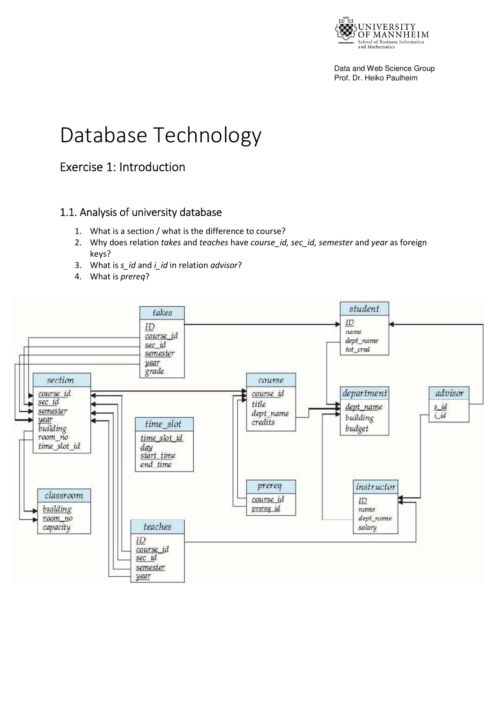

Data and Web Science Group Prof. Dr. Heiko Paulheim

# Database Technology

# Exercise 1: Introduction

### 1.1. Analysis of university database

- 1. What is a section / what is the difference to course?
- 2. Why does relation *takes* and *teaches* have *course\_id, sec\_id, semester* and *year* as foreign keys?
- 3. What is *s\_id* and *i\_id* in relation *advisor*?
- 4. What is *prereq*?